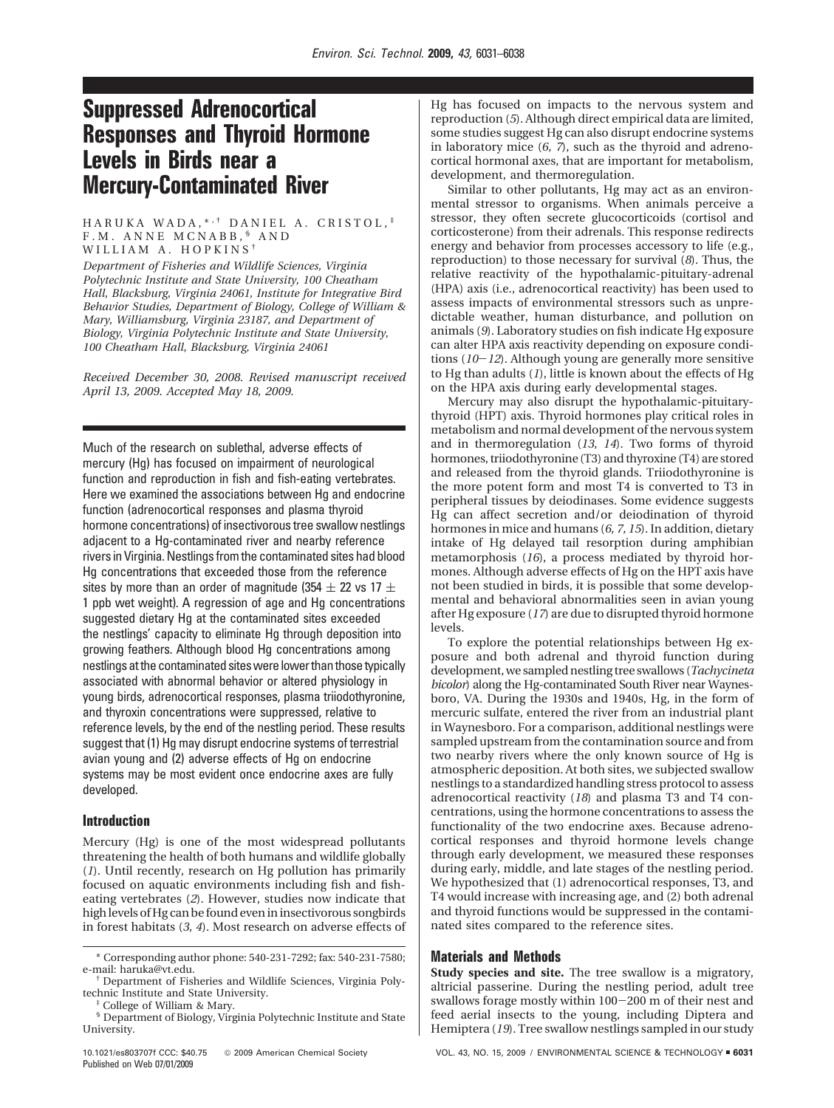# **Suppressed Adrenocortical Responses and Thyroid Hormone Levels in Birds near a Mercury-Contaminated River**

#### HARUKA WADA, \* , † DANIEL A. CRISTOL, † F.M. ANNE MCNABB, § AND WILLIAM A. HOPKINS †

*Department of Fisheries and Wildlife Sciences, Virginia Polytechnic Institute and State University, 100 Cheatham Hall, Blacksburg, Virginia 24061, Institute for Integrative Bird Behavior Studies, Department of Biology, College of William & Mary, Williamsburg, Virginia 23187, and Department of Biology, Virginia Polytechnic Institute and State University, 100 Cheatham Hall, Blacksburg, Virginia 24061*

*Received December 30, 2008. Revised manuscript received April 13, 2009. Accepted May 18, 2009.*

Much of the research on sublethal, adverse effects of mercury (Hg) has focused on impairment of neurological function and reproduction in fish and fish-eating vertebrates. Here we examined the associations between Hg and endocrine function (adrenocortical responses and plasma thyroid hormone concentrations) of insectivorous tree swallow nestlings adjacent to a Hg-contaminated river and nearby reference rivers in Virginia. Nestlings from the contaminated sites had blood Hg concentrations that exceeded those from the reference sites by more than an order of magnitude (354  $\pm$  22 vs 17  $\pm$ 1 ppb wet weight). A regression of age and Hg concentrations suggested dietary Hg at the contaminated sites exceeded the nestlings' capacity to eliminate Hg through deposition into growing feathers. Although blood Hg concentrations among nestlings at the contaminated sites were lower than those typically associated with abnormal behavior or altered physiology in young birds, adrenocortical responses, plasma triiodothyronine, and thyroxin concentrations were suppressed, relative to reference levels, by the end of the nestling period. These results suggest that (1) Hg may disrupt endocrine systems of terrestrial avian young and (2) adverse effects of Hg on endocrine systems may be most evident once endocrine axes are fully developed.

## **Introduction**

Mercury (Hg) is one of the most widespread pollutants threatening the health of both humans and wildlife globally (*1*). Until recently, research on Hg pollution has primarily focused on aquatic environments including fish and fisheating vertebrates (*2*). However, studies now indicate that high levels of Hg can be found even in insectivorous songbirds in forest habitats (*3, 4*). Most research on adverse effects of

 $*$  College of William & Mary.

Hg has focused on impacts to the nervous system and reproduction (*5*). Although direct empirical data are limited, some studies suggest Hg can also disrupt endocrine systems in laboratory mice (*6, 7*), such as the thyroid and adrenocortical hormonal axes, that are important for metabolism, development, and thermoregulation.

Similar to other pollutants, Hg may act as an environmental stressor to organisms. When animals perceive a stressor, they often secrete glucocorticoids (cortisol and corticosterone) from their adrenals. This response redirects energy and behavior from processes accessory to life (e.g., reproduction) to those necessary for survival (*8*). Thus, the relative reactivity of the hypothalamic-pituitary-adrenal (HPA) axis (i.e., adrenocortical reactivity) has been used to assess impacts of environmental stressors such as unpredictable weather, human disturbance, and pollution on animals (*9*). Laboratory studies on fish indicate Hg exposure can alter HPA axis reactivity depending on exposure conditions (*10*-*12*). Although young are generally more sensitive to Hg than adults (*1*), little is known about the effects of Hg on the HPA axis during early developmental stages.

Mercury may also disrupt the hypothalamic-pituitarythyroid (HPT) axis. Thyroid hormones play critical roles in metabolism and normal development of the nervous system and in thermoregulation (*13, 14*). Two forms of thyroid hormones, triiodothyronine (T3) and thyroxine (T4) are stored and released from the thyroid glands. Triiodothyronine is the more potent form and most T4 is converted to T3 in peripheral tissues by deiodinases. Some evidence suggests Hg can affect secretion and/or deiodination of thyroid hormones in mice and humans (*6, 7, 15*). In addition, dietary intake of Hg delayed tail resorption during amphibian metamorphosis (*16*), a process mediated by thyroid hormones. Although adverse effects of Hg on the HPT axis have not been studied in birds, it is possible that some developmental and behavioral abnormalities seen in avian young after Hg exposure (*17*) are due to disrupted thyroid hormone levels.

To explore the potential relationships between Hg exposure and both adrenal and thyroid function during development, we sampled nestling tree swallows (*Tachycineta bicolor*) along the Hg-contaminated South River near Waynesboro, VA. During the 1930s and 1940s, Hg, in the form of mercuric sulfate, entered the river from an industrial plant in Waynesboro. For a comparison, additional nestlings were sampled upstream from the contamination source and from two nearby rivers where the only known source of Hg is atmospheric deposition. At both sites, we subjected swallow nestlings to a standardized handling stress protocol to assess adrenocortical reactivity (*18*) and plasma T3 and T4 concentrations, using the hormone concentrations to assess the functionality of the two endocrine axes. Because adrenocortical responses and thyroid hormone levels change through early development, we measured these responses during early, middle, and late stages of the nestling period. We hypothesized that (1) adrenocortical responses, T3, and T4 would increase with increasing age, and (2) both adrenal and thyroid functions would be suppressed in the contaminated sites compared to the reference sites.

# **Materials and Methods**

**Study species and site.** The tree swallow is a migratory, altricial passerine. During the nestling period, adult tree swallows forage mostly within 100-200 m of their nest and feed aerial insects to the young, including Diptera and Hemiptera (*19*). Tree swallow nestlings sampled in our study

<sup>\*</sup> Corresponding author phone: 540-231-7292; fax: 540-231-7580;

e-mail: haruka@vt.edu.<br>† Department of Fisheries and Wildlife Sciences, Virginia Polytechnic Institute and State University.

<sup>§</sup> Department of Biology, Virginia Polytechnic Institute and State University.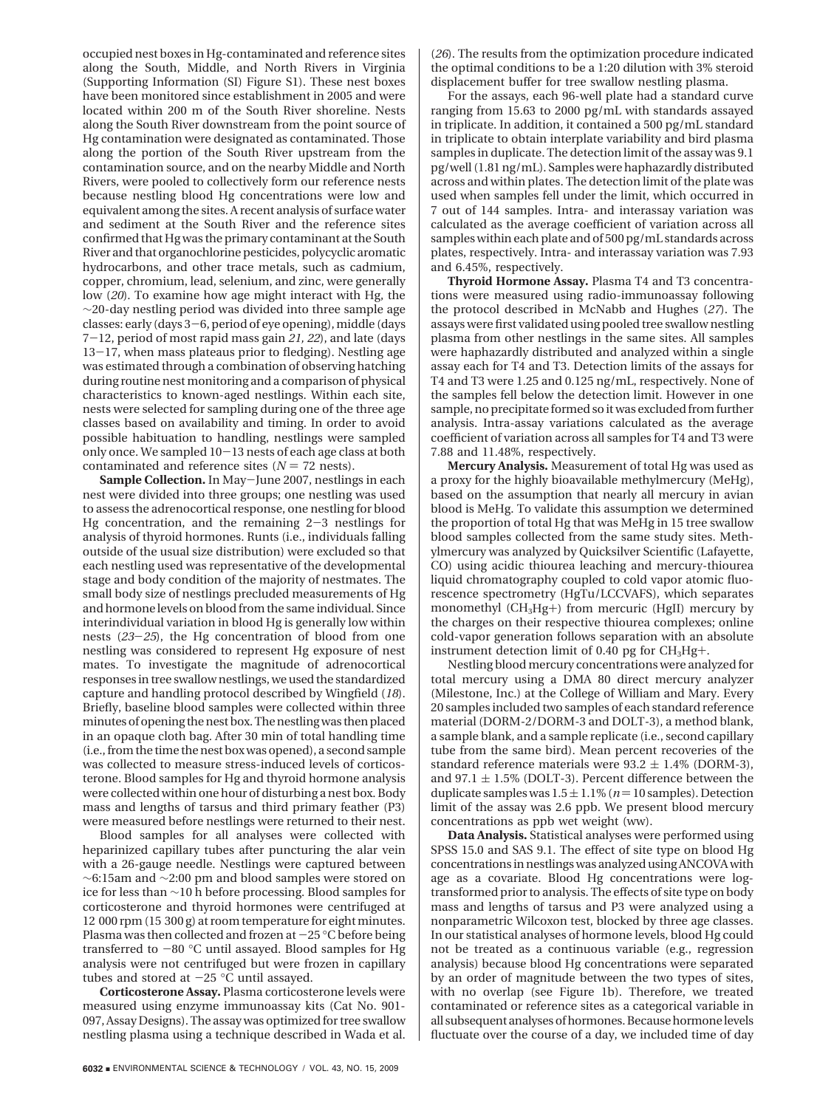occupied nest boxes in Hg-contaminated and reference sites along the South, Middle, and North Rivers in Virginia (Supporting Information (SI) Figure S1). These nest boxes have been monitored since establishment in 2005 and were located within 200 m of the South River shoreline. Nests along the South River downstream from the point source of Hg contamination were designated as contaminated. Those along the portion of the South River upstream from the contamination source, and on the nearby Middle and North Rivers, were pooled to collectively form our reference nests because nestling blood Hg concentrations were low and equivalent among the sites. A recent analysis of surface water and sediment at the South River and the reference sites confirmed that Hg was the primary contaminant at the South River and that organochlorine pesticides, polycyclic aromatic hydrocarbons, and other trace metals, such as cadmium, copper, chromium, lead, selenium, and zinc, were generally low (*20*). To examine how age might interact with Hg, the ∼20-day nestling period was divided into three sample age classes: early (days 3-6, period of eye opening), middle (days <sup>7</sup>-12, period of most rapid mass gain *21, 22*), and late (days <sup>13</sup>-17, when mass plateaus prior to fledging). Nestling age was estimated through a combination of observing hatching during routine nest monitoring and a comparison of physical characteristics to known-aged nestlings. Within each site, nests were selected for sampling during one of the three age classes based on availability and timing. In order to avoid possible habituation to handling, nestlings were sampled only once. We sampled 10-13 nests of each age class at both contaminated and reference sites  $(N = 72 \text{ nests})$ .

**Sample Collection.** In May-June 2007, nestlings in each nest were divided into three groups; one nestling was used to assess the adrenocortical response, one nestling for blood Hg concentration, and the remaining 2-3 nestlings for analysis of thyroid hormones. Runts (i.e., individuals falling outside of the usual size distribution) were excluded so that each nestling used was representative of the developmental stage and body condition of the majority of nestmates. The small body size of nestlings precluded measurements of Hg and hormone levels on blood from the same individual. Since interindividual variation in blood Hg is generally low within nests (*23*-*25*), the Hg concentration of blood from one nestling was considered to represent Hg exposure of nest mates. To investigate the magnitude of adrenocortical responses in tree swallow nestlings, we used the standardized capture and handling protocol described by Wingfield (*18*). Briefly, baseline blood samples were collected within three minutes of opening the nest box. The nestling was then placed in an opaque cloth bag. After 30 min of total handling time (i.e., from the time the nest box was opened), a second sample was collected to measure stress-induced levels of corticosterone. Blood samples for Hg and thyroid hormone analysis were collected within one hour of disturbing a nest box. Body mass and lengths of tarsus and third primary feather (P3) were measured before nestlings were returned to their nest.

Blood samples for all analyses were collected with heparinized capillary tubes after puncturing the alar vein with a 26-gauge needle. Nestlings were captured between ∼6:15am and ∼2:00 pm and blood samples were stored on ice for less than ∼10 h before processing. Blood samples for corticosterone and thyroid hormones were centrifuged at 12 000 rpm (15 300 g) at room temperature for eight minutes. Plasma was then collected and frozen at  $-25$  °C before being transferred to  $-80$  °C until assayed. Blood samples for Hg analysis were not centrifuged but were frozen in capillary tubes and stored at  $-25$  °C until assayed.

**Corticosterone Assay.** Plasma corticosterone levels were measured using enzyme immunoassay kits (Cat No. 901- 097, Assay Designs). The assay was optimized for tree swallow nestling plasma using a technique described in Wada et al. (*26*). The results from the optimization procedure indicated the optimal conditions to be a 1:20 dilution with 3% steroid displacement buffer for tree swallow nestling plasma.

For the assays, each 96-well plate had a standard curve ranging from 15.63 to 2000 pg/mL with standards assayed in triplicate. In addition, it contained a 500 pg/mL standard in triplicate to obtain interplate variability and bird plasma samples in duplicate. The detection limit of the assay was 9.1 pg/well (1.81 ng/mL). Samples were haphazardly distributed across and within plates. The detection limit of the plate was used when samples fell under the limit, which occurred in 7 out of 144 samples. Intra- and interassay variation was calculated as the average coefficient of variation across all samples within each plate and of 500 pg/mL standards across plates, respectively. Intra- and interassay variation was 7.93 and 6.45%, respectively.

**Thyroid Hormone Assay.** Plasma T4 and T3 concentrations were measured using radio-immunoassay following the protocol described in McNabb and Hughes (*27*). The assays were first validated using pooled tree swallow nestling plasma from other nestlings in the same sites. All samples were haphazardly distributed and analyzed within a single assay each for T4 and T3. Detection limits of the assays for T4 and T3 were 1.25 and 0.125 ng/mL, respectively. None of the samples fell below the detection limit. However in one sample, no precipitate formed so it was excluded from further analysis. Intra-assay variations calculated as the average coefficient of variation across all samples for T4 and T3 were 7.88 and 11.48%, respectively.

**Mercury Analysis.** Measurement of total Hg was used as a proxy for the highly bioavailable methylmercury (MeHg), based on the assumption that nearly all mercury in avian blood is MeHg. To validate this assumption we determined the proportion of total Hg that was MeHg in 15 tree swallow blood samples collected from the same study sites. Methylmercury was analyzed by Quicksilver Scientific (Lafayette, CO) using acidic thiourea leaching and mercury-thiourea liquid chromatography coupled to cold vapor atomic fluorescence spectrometry (HgTu/LCCVAFS), which separates monomethyl (CH3Hg+) from mercuric (HgII) mercury by the charges on their respective thiourea complexes; online cold-vapor generation follows separation with an absolute instrument detection limit of 0.40 pg for  $CH<sub>3</sub>Hg+$ .

Nestling blood mercury concentrations were analyzed for total mercury using a DMA 80 direct mercury analyzer (Milestone, Inc.) at the College of William and Mary. Every 20 samples included two samples of each standard reference material (DORM-2/DORM-3 and DOLT-3), a method blank, a sample blank, and a sample replicate (i.e., second capillary tube from the same bird). Mean percent recoveries of the standard reference materials were  $93.2 \pm 1.4\%$  (DORM-3), and 97.1  $\pm$  1.5% (DOLT-3). Percent difference between the duplicate samples was  $1.5 \pm 1.1\%$  ( $n=10$  samples). Detection limit of the assay was 2.6 ppb. We present blood mercury concentrations as ppb wet weight (ww).

**Data Analysis.** Statistical analyses were performed using SPSS 15.0 and SAS 9.1. The effect of site type on blood Hg concentrations in nestlings was analyzed using ANCOVA with age as a covariate. Blood Hg concentrations were logtransformed prior to analysis. The effects of site type on body mass and lengths of tarsus and P3 were analyzed using a nonparametric Wilcoxon test, blocked by three age classes. In our statistical analyses of hormone levels, blood Hg could not be treated as a continuous variable (e.g., regression analysis) because blood Hg concentrations were separated by an order of magnitude between the two types of sites, with no overlap (see Figure 1b). Therefore, we treated contaminated or reference sites as a categorical variable in all subsequent analyses of hormones. Because hormone levels fluctuate over the course of a day, we included time of day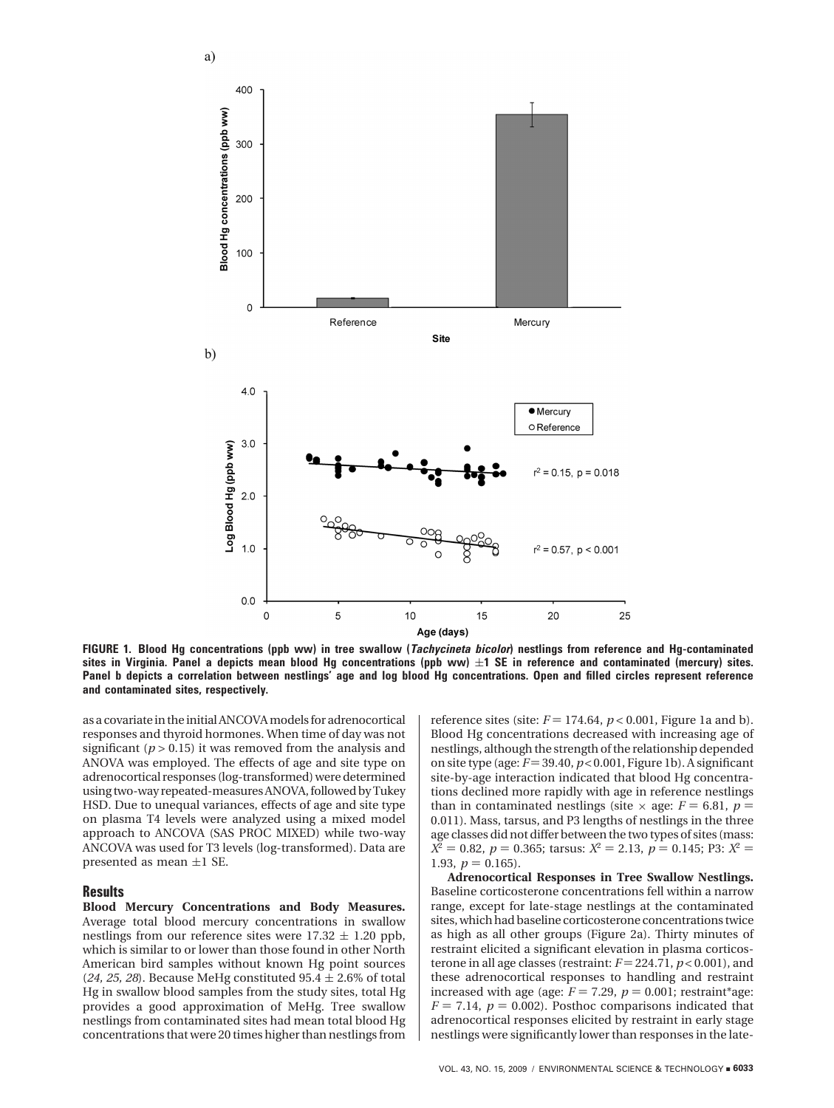

**FIGURE 1. Blood Hg concentrations (ppb ww) in tree swallow (***Tachycineta bicolor***) nestlings from reference and Hg-contaminated** sites in Virginia. Panel a depicts mean blood Hg concentrations (ppb ww)  $\pm 1$  SE in reference and contaminated (mercury) sites. **Panel b depicts a correlation between nestlings' age and log blood Hg concentrations. Open and filled circles represent reference and contaminated sites, respectively.**

as a covariate in the initial ANCOVA models for adrenocortical responses and thyroid hormones. When time of day was not significant ( $p > 0.15$ ) it was removed from the analysis and ANOVA was employed. The effects of age and site type on adrenocortical responses (log-transformed) were determined using two-way repeated-measures ANOVA, followed by Tukey HSD. Due to unequal variances, effects of age and site type on plasma T4 levels were analyzed using a mixed model approach to ANCOVA (SAS PROC MIXED) while two-way ANCOVA was used for T3 levels (log-transformed). Data are presented as mean  $\pm 1$  SE.

### **Results**

**Blood Mercury Concentrations and Body Measures.** Average total blood mercury concentrations in swallow nestlings from our reference sites were  $17.32 \pm 1.20$  ppb, which is similar to or lower than those found in other North American bird samples without known Hg point sources (24, 25, 28). Because MeHg constituted  $95.4 \pm 2.6\%$  of total Hg in swallow blood samples from the study sites, total Hg provides a good approximation of MeHg. Tree swallow nestlings from contaminated sites had mean total blood Hg concentrations that were 20 times higher than nestlings from

reference sites (site:  $F = 174.64$ ,  $p < 0.001$ , Figure 1a and b). Blood Hg concentrations decreased with increasing age of nestlings, although the strength of the relationship depended on site type (age:  $F = 39.40$ ,  $p < 0.001$ , Figure 1b). A significant site-by-age interaction indicated that blood Hg concentrations declined more rapidly with age in reference nestlings than in contaminated nestlings (site  $\times$  age:  $F = 6.81$ ,  $p =$ 0.011). Mass, tarsus, and P3 lengths of nestlings in the three age classes did not differ between the two types of sites (mass:  $X^2 = 0.82$ ,  $p = 0.365$ ; tarsus:  $X^2 = 2.13$ ,  $p = 0.145$ ; P3:  $X^2 =$ 1.93,  $p = 0.165$ ).

**Adrenocortical Responses in Tree Swallow Nestlings.** Baseline corticosterone concentrations fell within a narrow range, except for late-stage nestlings at the contaminated sites, which had baseline corticosterone concentrations twice as high as all other groups (Figure 2a). Thirty minutes of restraint elicited a significant elevation in plasma corticosterone in all age classes (restraint:  $F = 224.71$ ,  $p < 0.001$ ), and these adrenocortical responses to handling and restraint increased with age (age:  $F = 7.29$ ,  $p = 0.001$ ; restraint\*age:  $F = 7.14$ ,  $p = 0.002$ ). Posthoc comparisons indicated that adrenocortical responses elicited by restraint in early stage nestlings were significantly lower than responses in the late-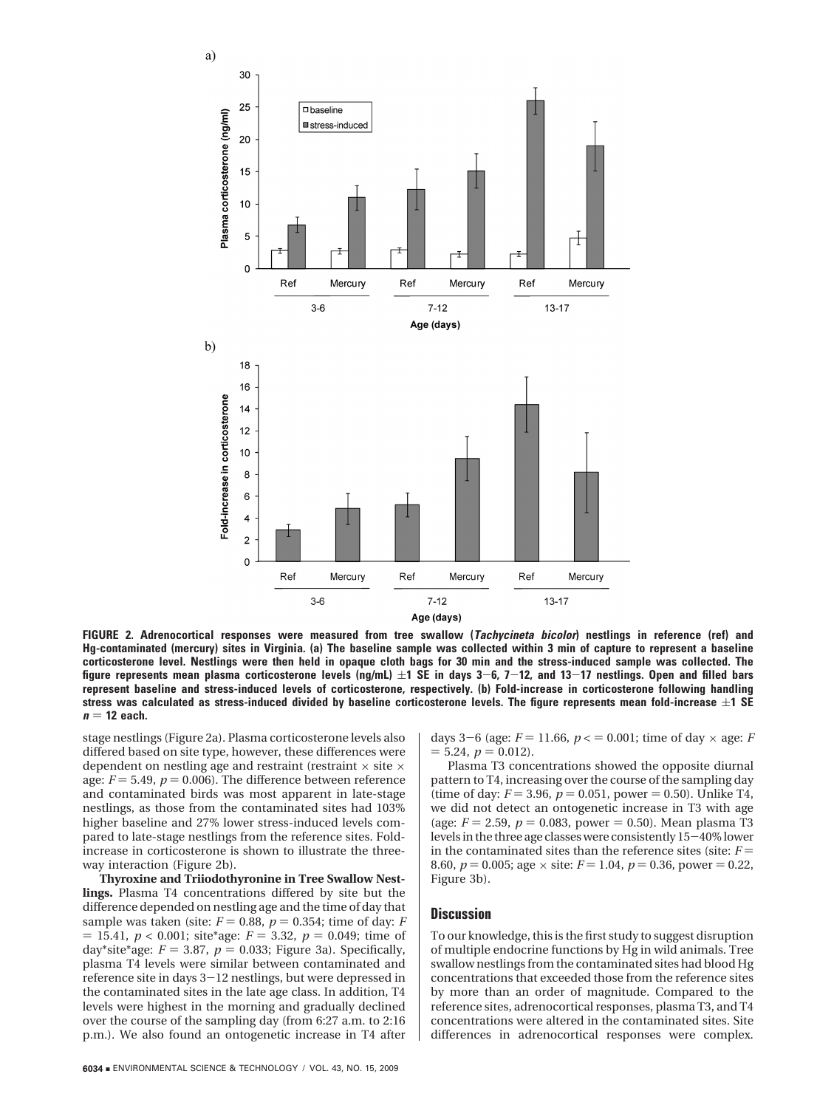

**FIGURE 2. Adrenocortical responses were measured from tree swallow (***Tachycineta bicolor***) nestlings in reference (ref) and Hg-contaminated (mercury) sites in Virginia. (a) The baseline sample was collected within 3 min of capture to represent a baseline corticosterone level. Nestlings were then held in opaque cloth bags for 30 min and the stress-induced sample was collected. The** figure represents mean plasma corticosterone levels (ng/mL)  $\pm$ 1 SE in days 3–6, 7–12, and 13–17 nestlings. Open and filled bars **represent baseline and stress-induced levels of corticosterone, respectively. (b) Fold-increase in corticosterone following handling** stress was calculated as stress-induced divided by baseline corticosterone levels. The figure represents mean fold-increase  $\pm 1$  SE  $n = 12$  each.

stage nestlings (Figure 2a). Plasma corticosterone levels also differed based on site type, however, these differences were dependent on nestling age and restraint (restraint  $\times$  site  $\times$ age:  $F = 5.49$ ,  $p = 0.006$ ). The difference between reference and contaminated birds was most apparent in late-stage nestlings, as those from the contaminated sites had 103% higher baseline and 27% lower stress-induced levels compared to late-stage nestlings from the reference sites. Foldincrease in corticosterone is shown to illustrate the threeway interaction (Figure 2b).

**Thyroxine and Triiodothyronine in Tree Swallow Nestlings.** Plasma T4 concentrations differed by site but the difference depended on nestling age and the time of day that sample was taken (site:  $F = 0.88$ ,  $p = 0.354$ ; time of day: *F*  $= 15.41, p < 0.001$ ; site\*age:  $F = 3.32, p = 0.049$ ; time of day\*site\*age:  $F = 3.87$ ,  $p = 0.033$ ; Figure 3a). Specifically, plasma T4 levels were similar between contaminated and reference site in days 3-12 nestlings, but were depressed in the contaminated sites in the late age class. In addition, T4 levels were highest in the morning and gradually declined over the course of the sampling day (from 6:27 a.m. to 2:16 p.m.). We also found an ontogenetic increase in T4 after

days 3-6 (age:  $F = 11.66$ ,  $p \le 0.001$ ; time of day  $\times$  age: *F*  $= 5.24, p = 0.012$ .

Plasma T3 concentrations showed the opposite diurnal pattern to T4, increasing over the course of the sampling day (time of day:  $F = 3.96$ ,  $p = 0.051$ , power  $= 0.50$ ). Unlike T4, we did not detect an ontogenetic increase in T3 with age (age:  $F = 2.59$ ,  $p = 0.083$ , power  $= 0.50$ ). Mean plasma T3 levels in the three age classes were consistently 15-40% lower in the contaminated sites than the reference sites (site:  $F =$ 8.60,  $p = 0.005$ ; age  $\times$  site:  $F = 1.04$ ,  $p = 0.36$ , power  $= 0.22$ , Figure 3b).

### **Discussion**

To our knowledge, this is the first study to suggest disruption of multiple endocrine functions by Hg in wild animals. Tree swallow nestlings from the contaminated sites had blood Hg concentrations that exceeded those from the reference sites by more than an order of magnitude. Compared to the reference sites, adrenocortical responses, plasma T3, and T4 concentrations were altered in the contaminated sites. Site differences in adrenocortical responses were complex.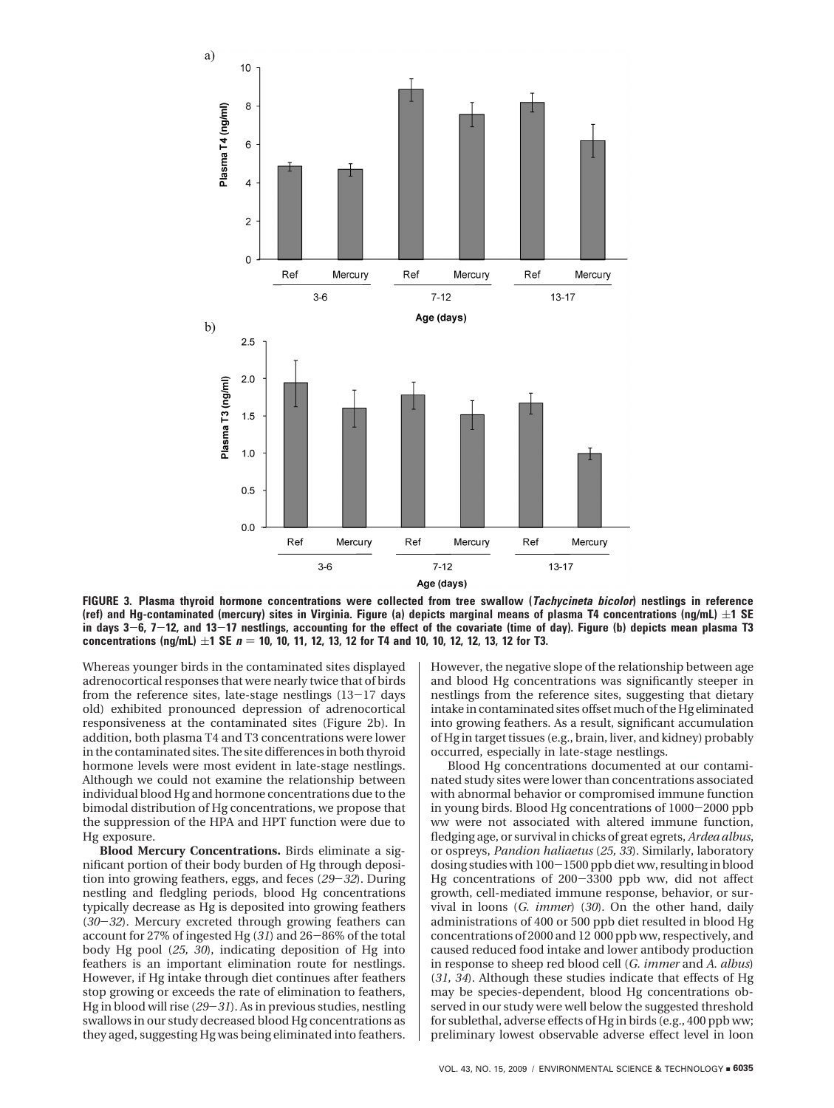

**FIGURE 3. Plasma thyroid hormone concentrations were collected from tree swallow (***Tachycineta bicolor***) nestlings in reference** (ref) and Hg-contaminated (mercury) sites in Virginia. Figure (a) depicts marginal means of plasma T4 concentrations (ng/mL)  $\pm$ 1 SE **in days 3**-**6, 7**-**12, and 13**-**17 nestlings, accounting for the effect of the covariate (time of day). Figure (b) depicts mean plasma T3** concentrations (ng/mL)  $\pm$ 1 SE *n* = 10, 10, 11, 12, 13, 12 for T4 and 10, 10, 12, 12, 13, 12 for T3.

Whereas younger birds in the contaminated sites displayed adrenocortical responses that were nearly twice that of birds from the reference sites, late-stage nestlings (13-17 days old) exhibited pronounced depression of adrenocortical responsiveness at the contaminated sites (Figure 2b). In addition, both plasma T4 and T3 concentrations were lower in the contaminated sites. The site differences in both thyroid hormone levels were most evident in late-stage nestlings. Although we could not examine the relationship between individual blood Hg and hormone concentrations due to the bimodal distribution of Hg concentrations, we propose that the suppression of the HPA and HPT function were due to Hg exposure.

**Blood Mercury Concentrations.** Birds eliminate a significant portion of their body burden of Hg through deposition into growing feathers, eggs, and feces (*29*-*32*). During nestling and fledgling periods, blood Hg concentrations typically decrease as Hg is deposited into growing feathers (*30*-*32*). Mercury excreted through growing feathers can account for 27% of ingested Hg (*31*) and 26-86% of the total body Hg pool (*25, 30*), indicating deposition of Hg into feathers is an important elimination route for nestlings. However, if Hg intake through diet continues after feathers stop growing or exceeds the rate of elimination to feathers, Hg in blood will rise (*29*-*31*). As in previous studies, nestling swallows in our study decreased blood Hg concentrations as they aged, suggesting Hg was being eliminated into feathers.

However, the negative slope of the relationship between age and blood Hg concentrations was significantly steeper in nestlings from the reference sites, suggesting that dietary intake in contaminated sites offset much of the Hg eliminated into growing feathers. As a result, significant accumulation of Hg in target tissues (e.g., brain, liver, and kidney) probably occurred, especially in late-stage nestlings.

Blood Hg concentrations documented at our contaminated study sites were lower than concentrations associated with abnormal behavior or compromised immune function in young birds. Blood Hg concentrations of 1000-2000 ppb ww were not associated with altered immune function, fledging age, or survival in chicks of great egrets, *Ardea albus*, or ospreys, *Pandion haliaetus* (*25, 33*). Similarly, laboratory dosing studies with 100-1500 ppb diet ww, resulting in blood Hg concentrations of 200-3300 ppb ww, did not affect growth, cell-mediated immune response, behavior, or survival in loons (*G. immer*) (*30*). On the other hand, daily administrations of 400 or 500 ppb diet resulted in blood Hg concentrations of 2000 and 12 000 ppb ww, respectively, and caused reduced food intake and lower antibody production in response to sheep red blood cell (*G. immer* and *A. albus*) (*31, 34*). Although these studies indicate that effects of Hg may be species-dependent, blood Hg concentrations observed in our study were well below the suggested threshold for sublethal, adverse effects of Hg in birds (e.g., 400 ppb ww; preliminary lowest observable adverse effect level in loon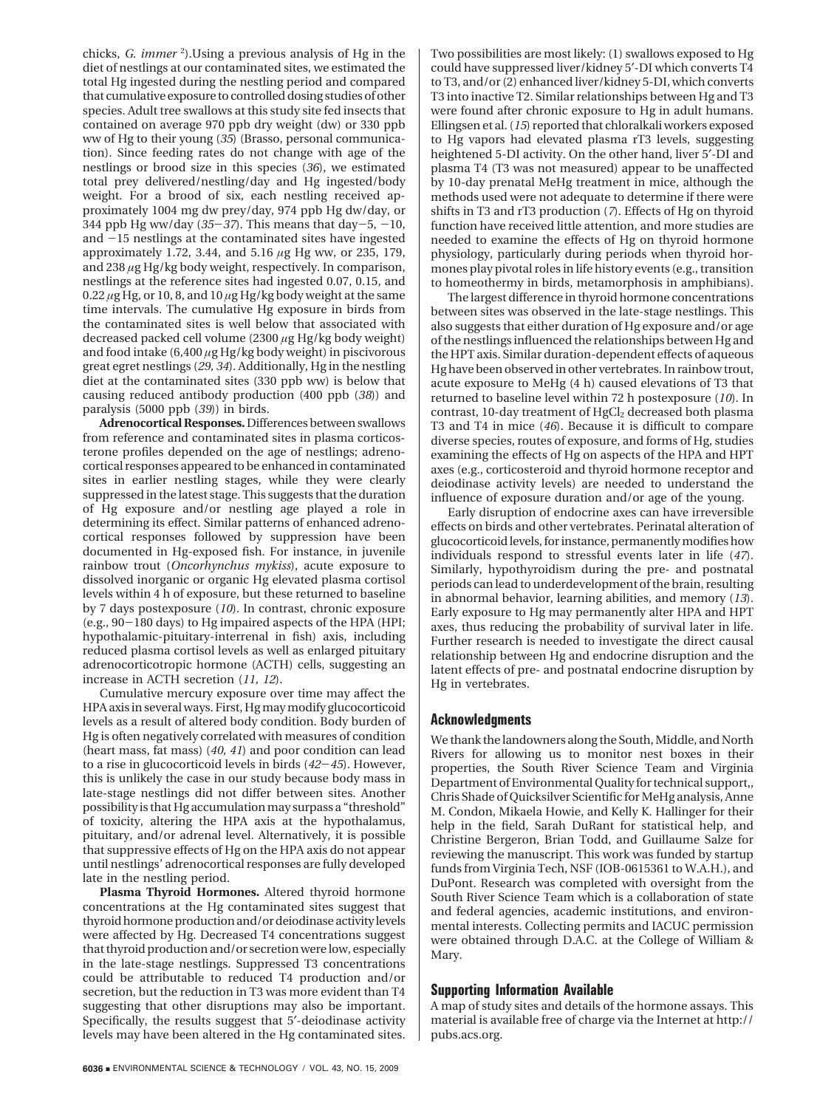chicks, *G. immer* <sup>2</sup> ).Using a previous analysis of Hg in the diet of nestlings at our contaminated sites, we estimated the total Hg ingested during the nestling period and compared that cumulative exposure to controlled dosing studies of other species. Adult tree swallows at this study site fed insects that contained on average 970 ppb dry weight (dw) or 330 ppb ww of Hg to their young (*35*) (Brasso, personal communication). Since feeding rates do not change with age of the nestlings or brood size in this species (*36*), we estimated total prey delivered/nestling/day and Hg ingested/body weight. For a brood of six, each nestling received approximately 1004 mg dw prey/day, 974 ppb Hg dw/day, or 344 ppb Hg ww/day  $(35-37)$ . This means that day-5, -10, and  $-15$  nestlings at the contaminated sites have ingested approximately 1.72, 3.44, and 5.16 *µ*g Hg ww, or 235, 179, and 238 *µ*g Hg/kg body weight, respectively. In comparison, nestlings at the reference sites had ingested 0.07, 0.15, and 0.22 *µ*g Hg, or 10, 8, and 10 *µ*g Hg/kg body weight at the same time intervals. The cumulative Hg exposure in birds from the contaminated sites is well below that associated with decreased packed cell volume (2300 *µ*g Hg/kg body weight) and food intake (6,400 *µ*g Hg/kg body weight) in piscivorous great egret nestlings (*29, 34*). Additionally, Hg in the nestling diet at the contaminated sites (330 ppb ww) is below that causing reduced antibody production (400 ppb (*38*)) and paralysis (5000 ppb (*39*)) in birds.

**Adrenocortical Responses.**Differences between swallows from reference and contaminated sites in plasma corticosterone profiles depended on the age of nestlings; adrenocortical responses appeared to be enhanced in contaminated sites in earlier nestling stages, while they were clearly suppressed in the latest stage. This suggests that the duration of Hg exposure and/or nestling age played a role in determining its effect. Similar patterns of enhanced adrenocortical responses followed by suppression have been documented in Hg-exposed fish. For instance, in juvenile rainbow trout (*Oncorhynchus mykiss*), acute exposure to dissolved inorganic or organic Hg elevated plasma cortisol levels within 4 h of exposure, but these returned to baseline by 7 days postexposure (*10*). In contrast, chronic exposure (e.g., 90-180 days) to Hg impaired aspects of the HPA (HPI; hypothalamic-pituitary-interrenal in fish) axis, including reduced plasma cortisol levels as well as enlarged pituitary adrenocorticotropic hormone (ACTH) cells, suggesting an increase in ACTH secretion (*11, 12*).

Cumulative mercury exposure over time may affect the HPA axis in several ways. First, Hg may modify glucocorticoid levels as a result of altered body condition. Body burden of Hg is often negatively correlated with measures of condition (heart mass, fat mass) (*40, 41*) and poor condition can lead to a rise in glucocorticoid levels in birds (*42*-*45*). However, this is unlikely the case in our study because body mass in late-stage nestlings did not differ between sites. Another possibility is that Hg accumulation may surpass a "threshold" of toxicity, altering the HPA axis at the hypothalamus, pituitary, and/or adrenal level. Alternatively, it is possible that suppressive effects of Hg on the HPA axis do not appear until nestlings' adrenocortical responses are fully developed late in the nestling period.

**Plasma Thyroid Hormones.** Altered thyroid hormone concentrations at the Hg contaminated sites suggest that thyroid hormone production and/or deiodinase activity levels were affected by Hg. Decreased T4 concentrations suggest that thyroid production and/or secretion were low, especially in the late-stage nestlings. Suppressed T3 concentrations could be attributable to reduced T4 production and/or secretion, but the reduction in T3 was more evident than T4 suggesting that other disruptions may also be important. Specifically, the results suggest that 5′-deiodinase activity levels may have been altered in the Hg contaminated sites.

Two possibilities are most likely: (1) swallows exposed to Hg could have suppressed liver/kidney 5′-DI which converts T4 to T3, and/or (2) enhanced liver/kidney 5-DI, which converts T3 into inactive T2. Similar relationships between Hg and T3 were found after chronic exposure to Hg in adult humans. Ellingsen et al. (*15*) reported that chloralkali workers exposed to Hg vapors had elevated plasma rT3 levels, suggesting heightened 5-DI activity. On the other hand, liver 5′-DI and plasma T4 (T3 was not measured) appear to be unaffected by 10-day prenatal MeHg treatment in mice, although the methods used were not adequate to determine if there were shifts in T3 and rT3 production (*7*). Effects of Hg on thyroid function have received little attention, and more studies are needed to examine the effects of Hg on thyroid hormone physiology, particularly during periods when thyroid hormones play pivotal roles in life history events (e.g., transition to homeothermy in birds, metamorphosis in amphibians).

The largest difference in thyroid hormone concentrations between sites was observed in the late-stage nestlings. This also suggests that either duration of Hg exposure and/or age of the nestlings influenced the relationships between Hg and the HPT axis. Similar duration-dependent effects of aqueous Hg have been observed in other vertebrates. In rainbow trout, acute exposure to MeHg (4 h) caused elevations of T3 that returned to baseline level within 72 h postexposure (*10*). In contrast, 10-day treatment of  $HgCl<sub>2</sub>$  decreased both plasma T3 and T4 in mice (*46*). Because it is difficult to compare diverse species, routes of exposure, and forms of Hg, studies examining the effects of Hg on aspects of the HPA and HPT axes (e.g., corticosteroid and thyroid hormone receptor and deiodinase activity levels) are needed to understand the influence of exposure duration and/or age of the young.

Early disruption of endocrine axes can have irreversible effects on birds and other vertebrates. Perinatal alteration of glucocorticoid levels, for instance, permanently modifies how individuals respond to stressful events later in life (*47*). Similarly, hypothyroidism during the pre- and postnatal periods can lead to underdevelopment of the brain, resulting in abnormal behavior, learning abilities, and memory (*13*). Early exposure to Hg may permanently alter HPA and HPT axes, thus reducing the probability of survival later in life. Further research is needed to investigate the direct causal relationship between Hg and endocrine disruption and the latent effects of pre- and postnatal endocrine disruption by Hg in vertebrates.

# **Acknowledgments**

We thank the landowners along the South, Middle, and North Rivers for allowing us to monitor nest boxes in their properties, the South River Science Team and Virginia Department of Environmental Quality for technical support,, Chris Shade of Quicksilver Scientific for MeHg analysis, Anne M. Condon, Mikaela Howie, and Kelly K. Hallinger for their help in the field, Sarah DuRant for statistical help, and Christine Bergeron, Brian Todd, and Guillaume Salze for reviewing the manuscript. This work was funded by startup funds from Virginia Tech, NSF (IOB-0615361 to W.A.H.), and DuPont. Research was completed with oversight from the South River Science Team which is a collaboration of state and federal agencies, academic institutions, and environmental interests. Collecting permits and IACUC permission were obtained through D.A.C. at the College of William & Mary.

# **Supporting Information Available**

A map of study sites and details of the hormone assays. This material is available free of charge via the Internet at http:// pubs.acs.org.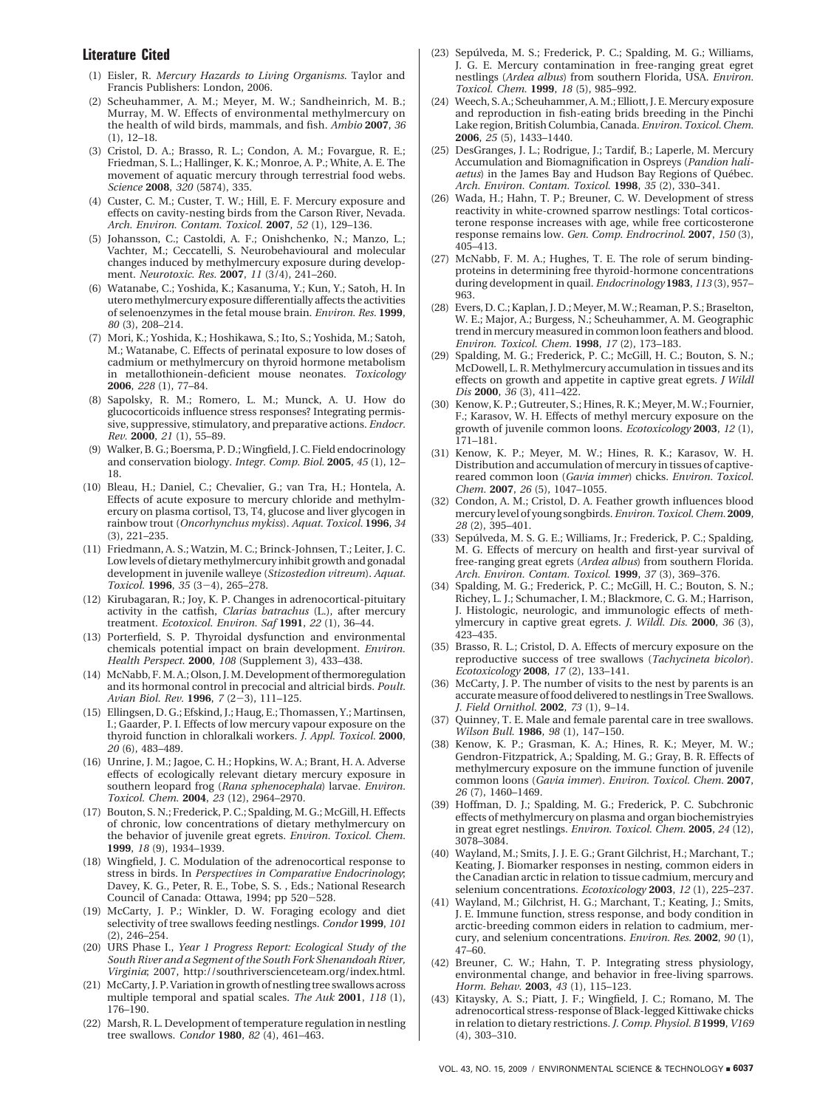## **Literature Cited**

- (1) Eisler, R. *Mercury Hazards to Living Organisms*. Taylor and Francis Publishers: London, 2006.
- (2) Scheuhammer, A. M.; Meyer, M. W.; Sandheinrich, M. B.; Murray, M. W. Effects of environmental methylmercury on the health of wild birds, mammals, and fish. *Ambio* **2007**, *36* (1), 12–18.
- (3) Cristol, D. A.; Brasso, R. L.; Condon, A. M.; Fovargue, R. E.; Friedman, S. L.; Hallinger, K. K.; Monroe, A. P.; White, A. E. The movement of aquatic mercury through terrestrial food webs. *Science* **2008**, *320* (5874), 335.
- (4) Custer, C. M.; Custer, T. W.; Hill, E. F. Mercury exposure and effects on cavity-nesting birds from the Carson River, Nevada. *Arch. Environ. Contam. Toxicol.* **2007**, *52* (1), 129–136.
- (5) Johansson, C.; Castoldi, A. F.; Onishchenko, N.; Manzo, L.; Vachter, M.; Ceccatelli, S. Neurobehavioural and molecular changes induced by methylmercury exposure during development. *Neurotoxic. Res.* **2007**, *11* (3/4), 241–260.
- (6) Watanabe, C.; Yoshida, K.; Kasanuma, Y.; Kun, Y.; Satoh, H. In utero methylmercury exposure differentially affects the activities of selenoenzymes in the fetal mouse brain. *Environ. Res.* **1999**, *80* (3), 208–214.
- (7) Mori, K.; Yoshida, K.; Hoshikawa, S.; Ito, S.; Yoshida, M.; Satoh, M.; Watanabe, C. Effects of perinatal exposure to low doses of cadmium or methylmercury on thyroid hormone metabolism in metallothionein-deficient mouse neonates. *Toxicology* **2006**, *228* (1), 77–84.
- (8) Sapolsky, R. M.; Romero, L. M.; Munck, A. U. How do glucocorticoids influence stress responses? Integrating permissive, suppressive, stimulatory, and preparative actions. *Endocr. Rev.* **2000**, *21* (1), 55–89.
- (9) Walker, B. G.; Boersma, P. D.; Wingfield, J. C. Field endocrinology and conservation biology. *Integr. Comp. Biol.* **2005**, *45* (1), 12– 18.
- (10) Bleau, H.; Daniel, C.; Chevalier, G.; van Tra, H.; Hontela, A. Effects of acute exposure to mercury chloride and methylmercury on plasma cortisol, T3, T4, glucose and liver glycogen in rainbow trout (*Oncorhynchus mykiss*). *Aquat. Toxicol.* **1996**, *34* (3), 221–235.
- (11) Friedmann, A. S.; Watzin, M. C.; Brinck-Johnsen, T.; Leiter, J. C. Low levels of dietary methylmercury inhibit growth and gonadal development in juvenile walleye (*Stizostedion vitreum*). *Aquat. Toxicol.* **<sup>1996</sup>**, *<sup>35</sup>* (3-4), 265–278.
- (12) Kirubagaran, R.; Joy, K. P. Changes in adrenocortical-pituitary activity in the catfish, *Clarias batrachus* (L.), after mercury treatment. *Ecotoxicol. Environ. Saf* **1991**, *22* (1), 36–44.
- (13) Porterfield, S. P. Thyroidal dysfunction and environmental chemicals potential impact on brain development. *Environ. Health Perspect.* **2000**, *108* (Supplement 3), 433–438.
- (14) McNabb, F. M. A.; Olson, J. M. Development of thermoregulation and its hormonal control in precocial and altricial birds. *Poult. Avian Biol. Rev.* **<sup>1996</sup>**, *<sup>7</sup>* (2-3), 111–125.
- (15) Ellingsen, D. G.; Efskind, J.; Haug, E.; Thomassen, Y.; Martinsen, I.; Gaarder, P. I. Effects of low mercury vapour exposure on the thyroid function in chloralkali workers. *J. Appl. Toxicol.* **2000**, *20* (6), 483–489.
- (16) Unrine, J. M.; Jagoe, C. H.; Hopkins, W. A.; Brant, H. A. Adverse effects of ecologically relevant dietary mercury exposure in southern leopard frog (*Rana sphenocephala*) larvae. *Environ. Toxicol. Chem.* **2004**, *23* (12), 2964–2970.
- (17) Bouton, S. N.; Frederick, P. C.; Spalding, M. G.; McGill, H. Effects of chronic, low concentrations of dietary methylmercury on the behavior of juvenile great egrets. *Environ. Toxicol. Chem.* **1999**, *18* (9), 1934–1939.
- (18) Wingfield, J. C. Modulation of the adrenocortical response to stress in birds. In *Perspectives in Comparative Endocrinology*; Davey, K. G., Peter, R. E., Tobe, S. S. , Eds.; National Research Council of Canada: Ottawa, 1994; pp 520-528.
- (19) McCarty, J. P.; Winkler, D. W. Foraging ecology and diet selectivity of tree swallows feeding nestlings. *Condor* **1999**, *101* (2), 246–254.
- (20) URS Phase I., *Year 1 Progress Report: Ecological Study of the South River and a Segment of the South Fork Shenandoah River, Virginia*; 2007, http://southriverscienceteam.org/index.html.
- (21) McCarty, J. P. Variation in growth of nestling tree swallows across multiple temporal and spatial scales. *The Auk* **2001**, *118* (1), 176–190.
- (22) Marsh, R. L. Development of temperature regulation in nestling tree swallows. *Condor* **1980**, *82* (4), 461–463.
- (23) Sepúlveda, M. S.; Frederick, P. C.; Spalding, M. G.; Williams, J. G. E. Mercury contamination in free-ranging great egret nestlings (*Ardea albus*) from southern Florida, USA. *Environ. Toxicol. Chem.* **1999**, *18* (5), 985–992.
- (24) Weech, S. A.; Scheuhammer, A. M.; Elliott, J. E. Mercury exposure and reproduction in fish-eating brids breeding in the Pinchi Lake region, British Columbia, Canada. *Environ. Toxicol. Chem.* **2006**, *25* (5), 1433–1440.
- (25) DesGranges, J. L.; Rodrigue, J.; Tardif, B.; Laperle, M. Mercury Accumulation and Biomagnification in Ospreys (*Pandion haliaetus*) in the James Bay and Hudson Bay Regions of Québec. *Arch. Environ. Contam. Toxicol.* **1998**, *35* (2), 330–341.
- (26) Wada, H.; Hahn, T. P.; Breuner, C. W. Development of stress reactivity in white-crowned sparrow nestlings: Total corticosterone response increases with age, while free corticosterone response remains low. *Gen. Comp. Endrocrinol.* **2007**, *150* (3), 405–413.
- (27) McNabb, F. M. A.; Hughes, T. E. The role of serum bindingproteins in determining free thyroid-hormone concentrations during development in quail. *Endocrinology* **1983**, *113* (3), 957– 963.
- (28) Evers, D. C.; Kaplan, J. D.; Meyer, M. W.; Reaman, P. S.; Braselton, W. E.; Major, A.; Burgess, N.; Scheuhammer, A. M. Geographic trend in mercury measured in common loon feathers and blood. *Environ. Toxicol. Chem.* **1998**, *17* (2), 173–183.
- (29) Spalding, M. G.; Frederick, P. C.; McGill, H. C.; Bouton, S. N.; McDowell, L. R. Methylmercury accumulation in tissues and its effects on growth and appetite in captive great egrets. *J Wildl Dis* **2000**, *36* (3), 411–422.
- (30) Kenow, K. P.; Gutreuter, S.; Hines, R. K.; Meyer, M. W.; Fournier, F.; Karasov, W. H. Effects of methyl mercury exposure on the growth of juvenile common loons. *Ecotoxicology* **2003**, *12* (1), 171–181.
- (31) Kenow, K. P.; Meyer, M. W.; Hines, R. K.; Karasov, W. H. Distribution and accumulation of mercury in tissues of captivereared common loon (*Gavia immer*) chicks. *Environ. Toxicol. Chem.* **2007**, *26* (5), 1047–1055.
- (32) Condon, A. M.; Cristol, D. A. Feather growth influences blood mercury level of young songbirds. *Environ. Toxicol. Chem.* **2009**, *28* (2), 395–401.
- (33) Sepúlveda, M. S. G. E.; Williams, Jr.; Frederick, P. C.; Spalding, M. G. Effects of mercury on health and first-year survival of free-ranging great egrets (*Ardea albus*) from southern Florida. *Arch. Environ. Contam. Toxicol.* **1999**, *37* (3), 369–376.
- Spalding, M. G.; Frederick, P. C.; McGill, H. C.; Bouton, S. N.; Richey, L. J.; Schumacher, I. M.; Blackmore, C. G. M.; Harrison, J. Histologic, neurologic, and immunologic effects of methylmercury in captive great egrets. *J. Wildl. Dis.* **2000**, *36* (3), 423–435.
- (35) Brasso, R. L.; Cristol, D. A. Effects of mercury exposure on the reproductive success of tree swallows (*Tachycineta bicolor*). *Ecotoxicology* **2008**, *17* (2), 133–141.
- (36) McCarty, J. P. The number of visits to the nest by parents is an accurate measure of food delivered to nestlings in Tree Swallows. *J. Field Ornithol.* **2002**, *73* (1), 9–14.
- (37) Quinney, T. E. Male and female parental care in tree swallows. *Wilson Bull.* **1986**, *98* (1), 147–150.
- (38) Kenow, K. P.; Grasman, K. A.; Hines, R. K.; Meyer, M. W.; Gendron-Fitzpatrick, A.; Spalding, M. G.; Gray, B. R. Effects of methylmercury exposure on the immune function of juvenile common loons (*Gavia immer*). *Environ. Toxicol. Chem.* **2007**, *26* (7), 1460–1469.
- (39) Hoffman, D. J.; Spalding, M. G.; Frederick, P. C. Subchronic effects of methylmercury on plasma and organ biochemistryies in great egret nestlings. *Environ. Toxicol. Chem.* **2005**, *24* (12), 3078–3084.
- (40) Wayland, M.; Smits, J. J. E. G.; Grant Gilchrist, H.; Marchant, T.; Keating, J. Biomarker responses in nesting, common eiders in the Canadian arctic in relation to tissue cadmium, mercury and selenium concentrations. *Ecotoxicology* **2003**, *12* (1), 225–237.
- (41) Wayland, M.; Gilchrist, H. G.; Marchant, T.; Keating, J.; Smits, J. E. Immune function, stress response, and body condition in arctic-breeding common eiders in relation to cadmium, mercury, and selenium concentrations. *Environ. Res.* **2002**, *90* (1), 47–60.
- (42) Breuner, C. W.; Hahn, T. P. Integrating stress physiology, environmental change, and behavior in free-living sparrows. *Horm. Behav.* **2003**, *43* (1), 115–123.
- (43) Kitaysky, A. S.; Piatt, J. F.; Wingfield, J. C.; Romano, M. The adrenocortical stress-response of Black-legged Kittiwake chicks in relation to dietary restrictions.*J. Comp. Physiol. B* **1999**, *V169* (4), 303–310.